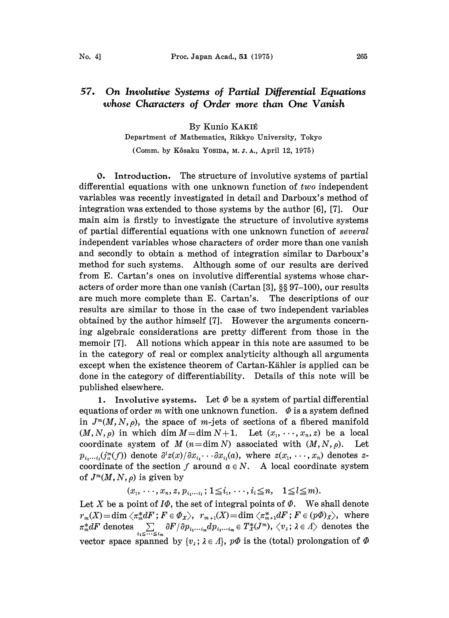## 57. On Involutive Systems of Partial Differential Equations whose Characters of Order more than One Vanish

By Kunio KAKIÉ Department of Mathematics, Rikkyo University, Tokyo

(Comm. by Kôsaku Yosipa, M. J. A., April 12, 1975)

0. Introduction. The structure of involutive systems of partial differential equations with one unknown function of  $two$  independent variables was recently investigated in detail and Darboux's method of integration was extended to those systems by the author [6], [7]. Our main aim is firstly to investigate the structure of involutive systems of partial differential equations with one unknown function of several independent variables whose characters of order more than one vanish and secondly to obtain a method of integration similar to Darboux's method for such systems. Although some of our results are derived from E. Cartan's ones on involutive differential systems whose characters of order more than one vanish (Cartan [3], §§ 97-100), our results are much more complete than E. Cartan's. The descriptions of our results are similar to those in the case of two independent variables obtained by the author himself [7]. However the arguments concerning algebraic considerations are pretty different from those in the memoir [7]. All notions which appear in this note are assumed to be in the category of real or complex analyticity although all arguments except when the existence theorem of Cartan-Kähler is applied can be done in the category of differentiability. Details of this note will be published elsewhere.

1. Involutive systems. Let  $\Phi$  be a system of partial differential equations of order m with one unknown function.  $\Phi$  is a system defined in  $J^m(M, N, \rho)$ , the space of m-jets of sections of a fibered manifold  $(M, N, \rho)$  in which dim  $M = \dim N + 1$ . Let  $(x_1, \dots, x_n, z)$  be a local coordinate system of M  $(n=\dim N)$  associated with  $(M, N, \rho)$ . Let  $p_{i_1\cdots i_l}(j_a^m(f))$  denote  $\partial^l z(x)/\partial x_{i_1}\cdots \partial x_{i_l}(a)$ , where  $z(x_1, \ldots, x_n)$  denotes zcoordinate of the section f around  $a \in N$ . A local coordinate system of  $J^m(M, N, \rho)$  is given by

 $(x_1, \ldots, x_n, z, p_{i_1 \ldots i_l}; 1 \leq i_1, \ldots, i_l \leq n, \quad 1 \leq l \leq m).$ 

Let X be a point of  $I\Phi$ , the set of integral points of  $\Phi$ . We shall denote  $r_m(X)\!=\!\dim \bra{\pi_m^*dF} ;\, F\in \varPhi_X\!\big>\! ,\;\; r_{m+1}(X)\!=\!\dim \bra{\pi_{m+1}^*dF} ;\, F\in (p\varPhi)_\mathscr{X}\!\big>\! ,\;\; \text{where}$  $\pi_m^* dF$  denotes  $\sum_{i_1 \leq \cdots \leq i_m} \frac{\partial F}{\partial p_{i_1...i_m}} dp_{i_1...i_m} \in T_x^*(J^m)$ ,  $\langle v_i; \lambda \in \Lambda \rangle$  denotes the vector space spanned by  $\{v_i; \lambda \in \Lambda\}$ ,  $p\Phi$  is the (total) prolongation of  $\Phi$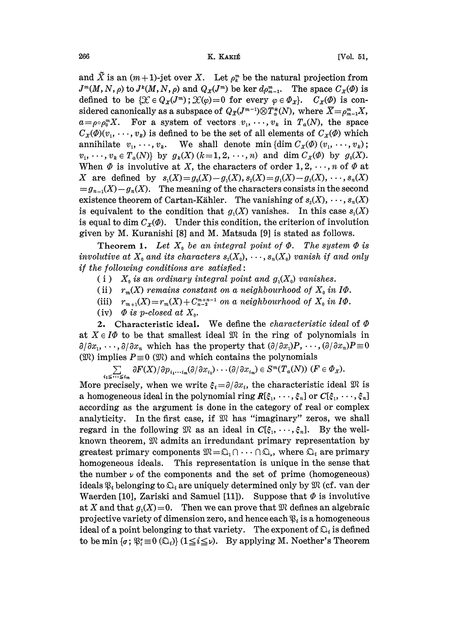and  $\tilde{X}$  is an  $(m+1)$ -jet over X. Let  $\rho_k^m$  be the natural projection from  $J^m(M, N, \rho)$  to  $J^k(M, N, \rho)$  and  $Q_X(J^m)$  be ker  $d\rho_{m-1}^m$ . The space  $C_X(\Phi)$  is defined to be  $\{\mathcal{X} \in Q_x(J^m) \colon \mathcal{X}(\varphi)=0 \text{ for every } \varphi \in \Phi_x\}.$   $C_x(\varPhi)$  is considered canonically as a subspace of  $Q_{\bar{x}}(J^{m-1})\otimes T_a^*(N)$ , where  $\bar{X}=\rho_{m-1}^mX$ ,  $a = \rho \circ \rho_0^m X$ . For a system of vectors  $v_1, \dots, v_k$  in  $T_a(N)$ , the space  $C_x(\phi)(v_1, \dots, v_k)$  is defined to be the set of all elements of  $C_x(\phi)$  which annihilate  $v_1, \dots, v_k$ . We shall denote min {dim  $C_x(\phi)(v_1, \dots, v_k)$ ;  $v_1, \dots, v_k \in T_a(N)$  by  $g_k(X)$   $(k=1, 2, \dots, n)$  and dim  $C_x(\emptyset)$  by  $g_0(X)$ . When  $\Phi$  is involutive at X, the characters of order 1, 2, ..., n of  $\Phi$  at X are defined by  $s_1(X) = g_0(X) - g_1(X), s_2(X) = g_1(X) - g_2(X), \dots, s_n(X)$  $g_{n-1}(X)-g_n(X)$ . The meaning of the characters consists in the second existence theorem of Cartan-Kähler. The vanishing of  $s_2(X), \dots, s_n(X)$ is equivalent to the condition that  $g_1(X)$  vanishes. In this case  $s_1(X)$ is equal to dim  $C_x(\phi)$ . Under this condition, the criterion of involution given by M. Kuranishi [8] and M. Matsuda [9] is stated as follows.

Theorem 1. Let  $X_0$  be an integral point of  $\Phi$ . The system  $\Phi$  is involutive at  $X_0$  and its characters  $s_2(X_0), \dots, s_n(X_0)$  vanish if and only if the following conditions are satisfied:

- (i)  $X_0$  is an ordinary integral point and  $g_1(X_0)$  vanishes.
- (ii)  $r_m(X)$  remains constant on a neighbourhood of  $X_0$  in I $\Phi$ .
- (iii)  $r_{m+1}(X) = r_m(X) + C_{n-2}^{m+n-1}$  on a neighbourhood of  $X_0$  in  $I\Phi$ .
- (iv)  $\Phi$  is p-closed at  $X_0$ .

2. Characteristic ideal. We define the *characteristic ideal* of  $\Phi$ at  $X \in I\Phi$  to be that smallest ideal  $\mathfrak M$  in the ring of polynomials in  $\partial/\partial x_1, \dots, \partial/\partial x_n$  which has the property that  $(\partial/\partial x_1)P, \dots, (\partial/\partial x_n)P\equiv 0$ ( $\mathfrak{M}$ ) implies  $P\equiv 0$  ( $\mathfrak{M}$ ) and which contains the polynomials

 $\sum_{i_1\leq\cdots\leq i_m}\partial F(X)/\partial p_{i_1\cdots i_m}(\partial/\partial x_{i_1})\cdots(\partial/\partial x_{i_m})\in S^m(T_a(N))\,\,(F\in\varPhi_X).$ 

More precisely, when we write  $\xi_i = \partial/\partial x_i$ , the characteristic ideal  $\mathfrak{M}$  is a homogeneous ideal in the polynomial ring  $R[\xi_1, \dots, \xi_n]$  or  $C[\xi_1, \dots, \xi_n]$ according as the argument is done in the category of real or complex analyticity. In the first case, if  $\mathfrak{M}$  has "imaginary" zeros, we shall regard in the following  $\mathfrak{M}$  as an ideal in  $C[\xi_1, \dots, \xi_n]$ . By the wellknown theorem,  $\mathfrak M$  admits an irredundant primary representation by greatest primary components  $\mathfrak M = \mathfrak{Q}_1 \cap \cdots \cap \mathfrak{Q}_r$ , where  $\mathfrak{Q}_i$  are primary homogeneous ideals. This representation is unique in the sen homogeneous ideals. This representation is unique in the sense that the number  $\nu$  of the components and the set of prime (homogeneous) ideals  $\mathfrak{P}_i$  belonging to  $\mathfrak{Q}_i$  are uniquely determined only by  $\mathfrak{M}$  (cf. van der Waerden [10], Zariski and Samuel [11]). Suppose that  $\Phi$  is involutive at X and that  $g_1(X)=0$ . Then we can prove that  $\mathfrak M$  defines an algebraic projective variety of dimension zero, and hence each  $\mathfrak{B}_i$  is a homogeneous ideal of a point belonging to that variety. The exponent of  $\mathfrak{Q}_i$  is defined to be min { $\sigma$ ;  $\mathfrak{F}_i \equiv 0$  ( $\mathfrak{Q}_i$ )} ( $1 \leq i \leq \nu$ ). By applying M. Noether's Theorem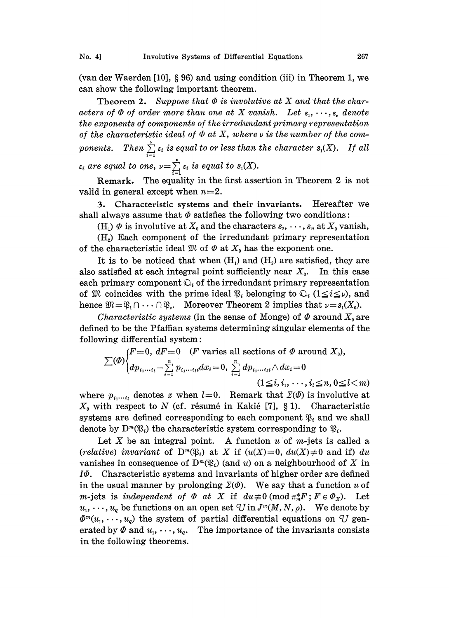(van der Waerden  $[10]$ , § 96) and using condition (iii) in Theorem 1, we can show the following important theorem.

Theorem 2. Suppose that  $\Phi$  is involutive at X and that the characters of  $\Phi$  of order more than one at X vanish. Let  $\varepsilon_1, \dots, \varepsilon_n$  denote the exponents of components of the irredundant primary representation of the characteristic ideal of  $\Phi$  at X, where  $\nu$  is the number of the components. Then  $\sum_{i=1}^{\nu} \varepsilon_i$  is equal to or less than the character  $s_i(X)$ . If all

are equal to one,  $\nu = \sum_{i=1}^{\infty} \varepsilon_i$  is equal to  $s_1(X)$ .<br>
Remark. The equality in the first assetid<br>
lid in general except when  $n=2$ .<br>
3. Characteristic systems and their is<br>
all always assume that  $\Phi$  satisfies th Remark. The equality in the first assertion in Theorem 2 is not valid in general except when  $n=2$ .

3. Characteristic systems and their invariants. Hereafter we shall always assume that  $\Phi$  satisfies the following two conditions:

(H<sub>i</sub>)  $\Phi$  is involutive at  $X_0$  and the characters  $s_2, \dots, s_n$  at  $X_0$  vanish,

 $(H<sub>2</sub>)$  Each component of the irredundant primary representation of the characteristic ideal  $\mathfrak{M}$  of  $\Phi$  at  $X_0$  has the exponent one.

It is to be noticed that when  $(H<sub>1</sub>)$  and  $(H<sub>2</sub>)$  are satisfied, they are also satisfied at each integral point sufficiently near  $X_0$ . In this case each primary component  $\mathfrak{Q}_i$  of the irredundant primary representation of  $\mathfrak{M}$  coincides with the prime ideal  $\mathfrak{P}_i$  belonging to  $\mathfrak{Q}_i$  ( $1 \leq i \leq \nu$ ), and each primary component  $\mathfrak{U}_i$  of the irredundant primary representation<br>of  $\mathfrak{M}$  coincides with the prime ideal  $\mathfrak{P}_i$  belonging to  $\mathfrak{O}_i$  ( $1 \leq i \leq \nu$ ), and<br>hence  $\mathfrak{M} = \mathfrak{P}_1 \cap \cdots \cap \mathfrak{P}_r$ . Moreo

defined to be the Pfaffian systems determining singular elements of the following differential system:

$$
\sum(\emptyset)\begin{cases}F=0, dF=0 & (F \text{ varies all sections of } \emptyset \text{ around } X_0),\\ dp_{i_1\cdots i_l}-\sum_{i=1}^n p_{i_1\cdots i_l}dx_i=0, \sum_{i=1}^n dp_{i_1\cdots i_l} \wedge dx_i=0\\ (1\leq i, i_1, \cdots, i_l\leq n, 0\leq l < m)\end{cases}
$$

where  $p_{i_1...i_l}$  denotes z when  $l=0$ . Remark that  $\Sigma(\Phi)$  is involutive at  $X_0$  with respect to N (cf. résumé in Kakié [7], § 1). Characteristic systems are defined corresponding to each component  $\mathfrak{B}_i$  and we shall denote by  $D^m(\mathfrak{B}_i)$  the characteristic system corresponding to  $\mathfrak{B}_i$ .

Let X be an integral point. A function u of m-jets is called a (relative) invariant of  $D^m(\mathfrak{B}_i)$  at X if  $(u(X)=0, du(X)\neq 0$  and if) du vanishes in consequence of  $D^m(\mathfrak{B}_i)$  (and u) on a neighbourhood of X in  $I\Phi$ . Characteristic systems and invariants of higher order are defined in the usual manner by prolonging  $\Sigma(\varPhi)$ . We say that a function u of m-jets is independent of  $\Phi$  at X if  $du \neq 0 \pmod{\pi_m^* F}$ ;  $F \in \Phi_X$ ). Let  $u_1, \dots, u_q$  be functions on an open set  $\mathcal{U}$  in  $J^m(M, N, \rho)$ . We denote by  $\Phi^m(u_1, \dots, u_q)$  the system of partial differential equations on U generated by  $\Phi$  and  $u_1, \dots, u_q$ . The importance of the invariants consists in the following theorems.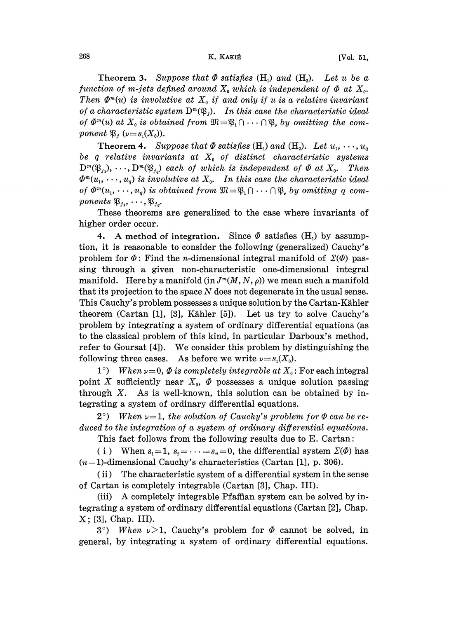## $268$  [Vol. 51,

Theorem 3. Suppose that  $\Phi$  satisfies (H<sub>1</sub>) and (H<sub>2</sub>). Let u be a function of m-jets defined around  $X_0$  which is independent of  $\Phi$  at  $X_0$ . Then  $\Phi^m(u)$  is involutive at  $X_0$  if and only if u is a relative invariant of a characteristic system  $D^m(\mathfrak{P}_j)$ . In this case the characteristic ideal of  $\Phi^m(u)$  at  $X_0$  is obtained from  $\mathfrak{M}=\mathfrak{B}_1\cap\cdots\cap\mathfrak{P}_v$  by omitting the component  $\mathfrak{P}_j$  ( $\nu=s_1(X_0)$ ).

of  $\Phi^m(u)$  at  $X_0$  is obtained from  $\mathfrak{M} = \mathfrak{P}_1 \cap \cdots \cap \mathfrak{P}_r$  by omitting the com-<br>ponent  $\mathfrak{P}_j$  ( $\nu = s_1(X_0)$ ).<br>Theorem 4. Suppose that  $\Phi$  satisfies (H<sub>1</sub>) and (H<sub>2</sub>). Let  $u_1, \cdots, u_q$ <br>be q relative invar **Theorem 4.** Suppose that  $\Phi$  satisfies (H<sub>1</sub>) and (H<sub>2</sub>). Let  $u_1, \dots, u_q$  $D^m(\mathfrak{B}_{i_1}), \cdots, D^m(\mathfrak{B}_{i_d})$  each of which is independent of  $\Phi$  at  $X_0$ . Then  $\Phi^m(u_1, \dots, u_q)$  is involutive at  $X_0$ . In this case the characteristic ideal of  $\Phi^m(u_1, \dots, u_q)$  is obtained from  $\mathfrak{M} = \mathfrak{B}_1 \cap \dots \cap \mathfrak{B}_r$ , by omitting q components  $\mathfrak{B}_{j_1}, \dots, \mathfrak{B}_{j_q}$ .<br>These theorems are generalized to the case where invariants of higher order occur.  $\begin{split} \mathit{of} \ \varPsi^{\scriptscriptstyle{\mathsf{m}}}(u_1,\, \cdots , u_q) \ \mathit{is} \ \mathit{connects} \ \mathfrak{P}_{j_1},\, \cdots , \mathfrak{P}_{j_q}. \end{split}$ 

These theorems are generalized to the case where invariants of higher order occur.

4. A method of integration. Since  $\Phi$  satisfies (H<sub>1</sub>) by assumption, it is reasonable to consider the following (generalized) Cauchy's problem for  $\Phi$ : Find the *n*-dimensional integral manifold of  $\Sigma(\Phi)$  passing through a given non-characteristic one-dimensional integral manifold. Here by a manifold  $(in J<sup>m</sup>(M, N, \rho))$  we mean such a manifold that its projection to the space N does not degenerate in the usual sense. This Cauchy's problem possesses a unique solution by the Cartan-Kähler theorem (Cartan [1], [3], Kähler [5]). Let us try to solve Cauchy's problem by integrating a system of ordinary differential equations (as to the classical problem of this kind, in particular Darboux's method, refer to Goursat [4]). We consider this problem by distinguishing the following three cases. As before we write  $\nu=s_1(X_0)$ .

1°) When  $\nu=0$ ,  $\Phi$  is completely integrable at  $X_0$ : For each integral point X sufficiently near  $X_0$ ,  $\Phi$  possesses a unique solution passing through  $X$ . As is well-known, this solution can be obtained by integrating a system of ordinary differential equations.

 $2^{\circ})$  When  $\nu=1$ , the solution of Cauchy's problem for  $\Phi$  can be reduced to the integration of a system of ordinary differential equations.

This fact follows from the following results due to E. Cartan:

( i ) When  $s_1=1$ ,  $s_2=\cdots=s_n=0$ , the differential system  $\Sigma(\Phi)$  has  $(n-1)$ -dimensional Cauchy's characteristics (Cartan [1], p. 306).

(ii) The characteristic system of a differential system in the sense of Cartan is completely integrable (Cartan [3], Chap. III).

(iii) A completely integrable Pfaffian system can be solved by integrating a system of ordinary differential equations (Cartan  $[2]$ , Chap. X; [3], Chap. III).

3°) When  $\nu > 1$ , Cauchy's problem for  $\Phi$  cannot be solved, in general, by integrating a system of ordinary differential equations.